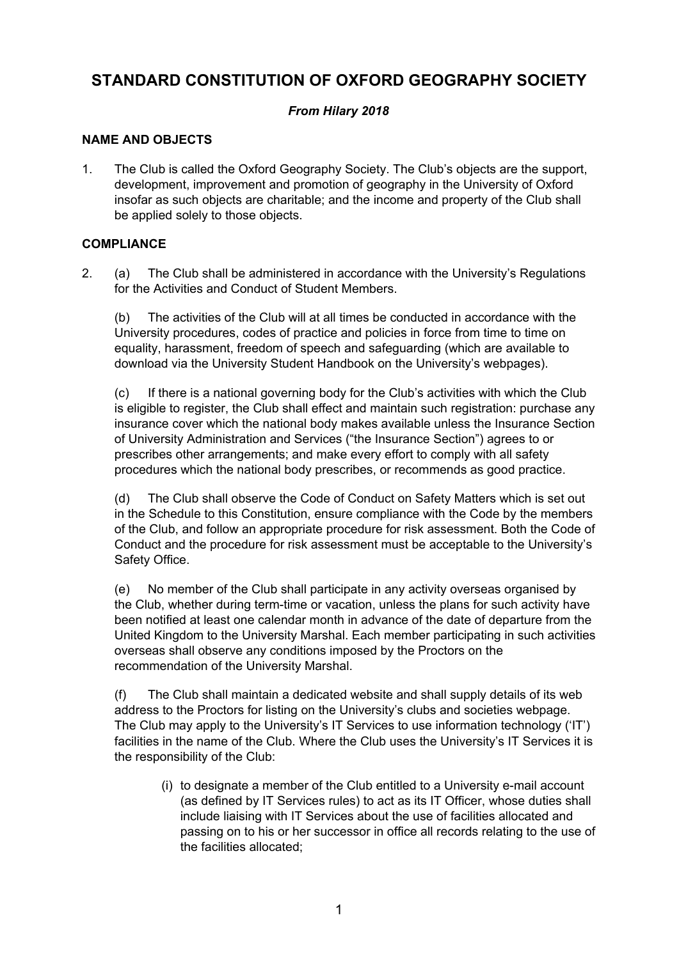# **STANDARD CONSTITUTION OF OXFORD GEOGRAPHY SOCIETY**

# *From Hilary 2018*

# **NAME AND OBJECTS**

1. The Club is called the Oxford Geography Society. The Club's objects are the support, development, improvement and promotion of geography in the University of Oxford insofar as such objects are charitable; and the income and property of the Club shall be applied solely to those objects.

# **COMPLIANCE**

2. (a) The Club shall be administered in accordance with the University's Regulations for the Activities and Conduct of Student Members.

(b) The activities of the Club will at all times be conducted in accordance with the University procedures, codes of practice and policies in force from time to time on equality, harassment, freedom of speech and safeguarding (which are available to download via the University Student Handbook on the University's webpages).

(c) If there is a national governing body for the Club's activities with which the Club is eligible to register, the Club shall effect and maintain such registration: purchase any insurance cover which the national body makes available unless the Insurance Section of University Administration and Services ("the Insurance Section") agrees to or prescribes other arrangements; and make every effort to comply with all safety procedures which the national body prescribes, or recommends as good practice.

(d) The Club shall observe the Code of Conduct on Safety Matters which is set out in the Schedule to this Constitution, ensure compliance with the Code by the members of the Club, and follow an appropriate procedure for risk assessment. Both the Code of Conduct and the procedure for risk assessment must be acceptable to the University's Safety Office.

(e) No member of the Club shall participate in any activity overseas organised by the Club, whether during term-time or vacation, unless the plans for such activity have been notified at least one calendar month in advance of the date of departure from the United Kingdom to the University Marshal. Each member participating in such activities overseas shall observe any conditions imposed by the Proctors on the recommendation of the University Marshal.

(f) The Club shall maintain a dedicated website and shall supply details of its web address to the Proctors for listing on the University's clubs and societies webpage. The Club may apply to the University's IT Services to use information technology ('IT') facilities in the name of the Club. Where the Club uses the University's IT Services it is the responsibility of the Club:

(i) to designate a member of the Club entitled to a University e-mail account (as defined by IT Services rules) to act as its IT Officer, whose duties shall include liaising with IT Services about the use of facilities allocated and passing on to his or her successor in office all records relating to the use of the facilities allocated;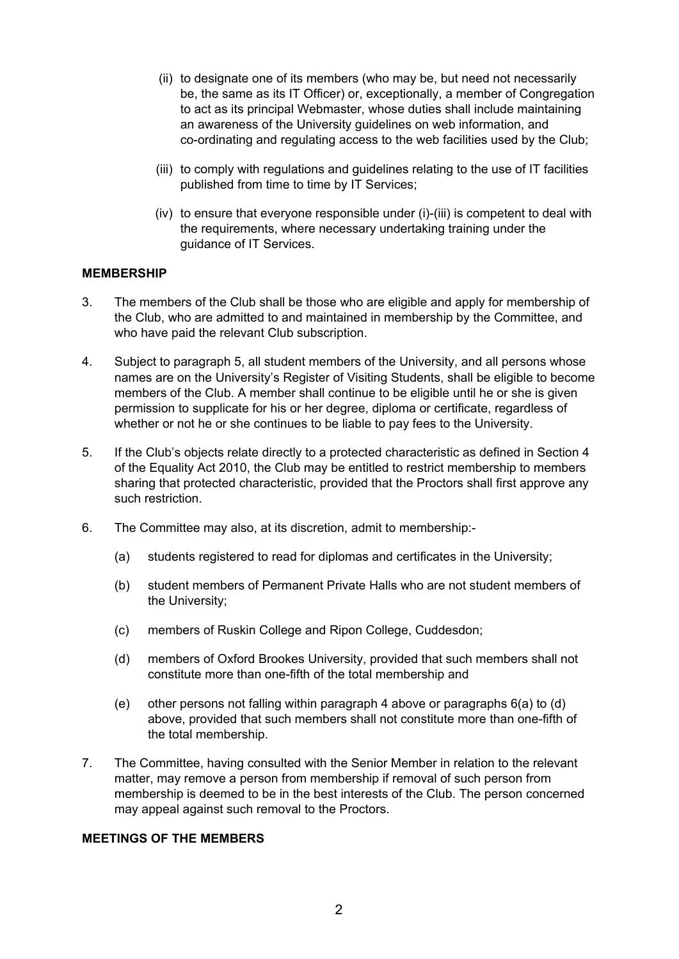- (ii) to designate one of its members (who may be, but need not necessarily be, the same as its IT Officer) or, exceptionally, a member of Congregation to act as its principal Webmaster, whose duties shall include maintaining an awareness of the University guidelines on web information, and co-ordinating and regulating access to the web facilities used by the Club;
- (iii) to comply with regulations and guidelines relating to the use of IT facilities published from time to time by IT Services;
- (iv) to ensure that everyone responsible under (i)-(iii) is competent to deal with the requirements, where necessary undertaking training under the guidance of IT Services.

### **MEMBERSHIP**

- 3. The members of the Club shall be those who are eligible and apply for membership of the Club, who are admitted to and maintained in membership by the Committee, and who have paid the relevant Club subscription.
- 4. Subject to paragraph 5, all student members of the University, and all persons whose names are on the University's Register of Visiting Students, shall be eligible to become members of the Club. A member shall continue to be eligible until he or she is given permission to supplicate for his or her degree, diploma or certificate, regardless of whether or not he or she continues to be liable to pay fees to the University.
- 5. If the Club's objects relate directly to a protected characteristic as defined in Section 4 of the Equality Act 2010, the Club may be entitled to restrict membership to members sharing that protected characteristic, provided that the Proctors shall first approve any such restriction.
- 6. The Committee may also, at its discretion, admit to membership:-
	- (a) students registered to read for diplomas and certificates in the University;
	- (b) student members of Permanent Private Halls who are not student members of the University;
	- (c) members of Ruskin College and Ripon College, Cuddesdon;
	- (d) members of Oxford Brookes University, provided that such members shall not constitute more than one-fifth of the total membership and
	- (e) other persons not falling within paragraph 4 above or paragraphs 6(a) to (d) above, provided that such members shall not constitute more than one-fifth of the total membership.
- 7. The Committee, having consulted with the Senior Member in relation to the relevant matter, may remove a person from membership if removal of such person from membership is deemed to be in the best interests of the Club. The person concerned may appeal against such removal to the Proctors.

#### **MEETINGS OF THE MEMBERS**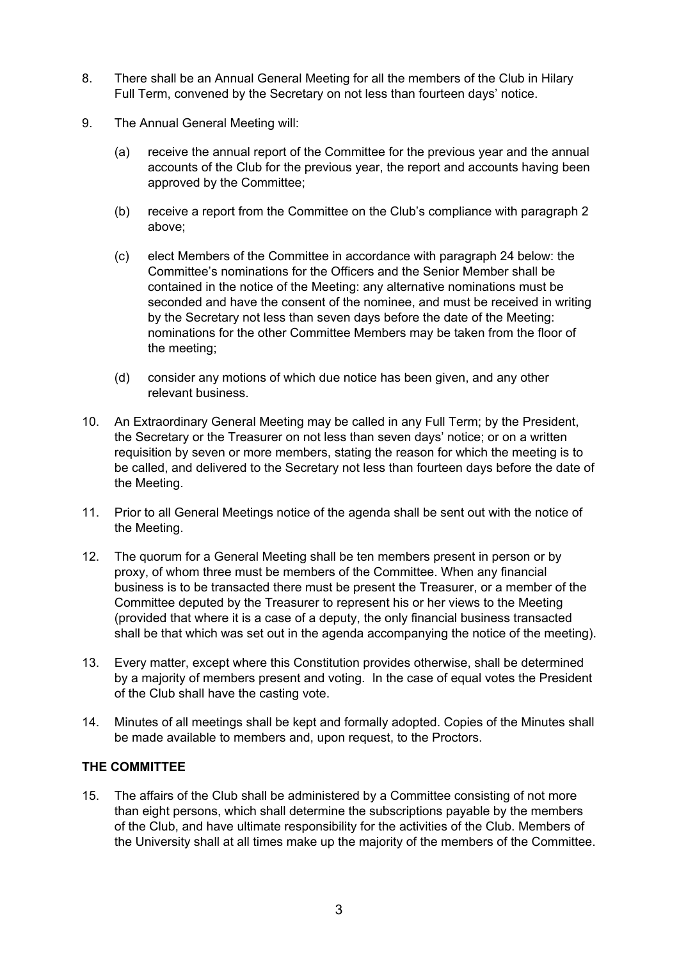- 8. There shall be an Annual General Meeting for all the members of the Club in Hilary Full Term, convened by the Secretary on not less than fourteen days' notice.
- 9. The Annual General Meeting will:
	- (a) receive the annual report of the Committee for the previous year and the annual accounts of the Club for the previous year, the report and accounts having been approved by the Committee;
	- (b) receive a report from the Committee on the Club's compliance with paragraph 2 above;
	- (c) elect Members of the Committee in accordance with paragraph 24 below: the Committee's nominations for the Officers and the Senior Member shall be contained in the notice of the Meeting: any alternative nominations must be seconded and have the consent of the nominee, and must be received in writing by the Secretary not less than seven days before the date of the Meeting: nominations for the other Committee Members may be taken from the floor of the meeting;
	- (d) consider any motions of which due notice has been given, and any other relevant business.
- 10. An Extraordinary General Meeting may be called in any Full Term; by the President, the Secretary or the Treasurer on not less than seven days' notice; or on a written requisition by seven or more members, stating the reason for which the meeting is to be called, and delivered to the Secretary not less than fourteen days before the date of the Meeting.
- 11. Prior to all General Meetings notice of the agenda shall be sent out with the notice of the Meeting.
- 12. The quorum for a General Meeting shall be ten members present in person or by proxy, of whom three must be members of the Committee. When any financial business is to be transacted there must be present the Treasurer, or a member of the Committee deputed by the Treasurer to represent his or her views to the Meeting (provided that where it is a case of a deputy, the only financial business transacted shall be that which was set out in the agenda accompanying the notice of the meeting).
- 13. Every matter, except where this Constitution provides otherwise, shall be determined by a majority of members present and voting. In the case of equal votes the President of the Club shall have the casting vote.
- 14. Minutes of all meetings shall be kept and formally adopted. Copies of the Minutes shall be made available to members and, upon request, to the Proctors.

# **THE COMMITTEE**

15. The affairs of the Club shall be administered by a Committee consisting of not more than eight persons, which shall determine the subscriptions payable by the members of the Club, and have ultimate responsibility for the activities of the Club. Members of the University shall at all times make up the majority of the members of the Committee.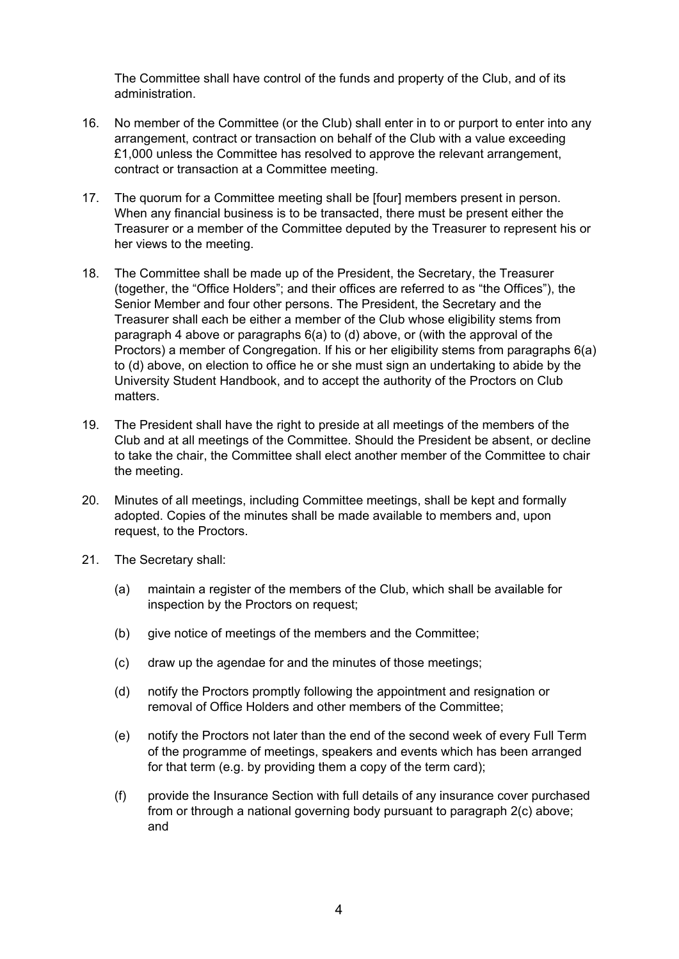The Committee shall have control of the funds and property of the Club, and of its administration.

- 16. No member of the Committee (or the Club) shall enter in to or purport to enter into any arrangement, contract or transaction on behalf of the Club with a value exceeding £1,000 unless the Committee has resolved to approve the relevant arrangement, contract or transaction at a Committee meeting.
- 17. The quorum for a Committee meeting shall be [four] members present in person. When any financial business is to be transacted, there must be present either the Treasurer or a member of the Committee deputed by the Treasurer to represent his or her views to the meeting.
- 18. The Committee shall be made up of the President, the Secretary, the Treasurer (together, the "Office Holders"; and their offices are referred to as "the Offices"), the Senior Member and four other persons. The President, the Secretary and the Treasurer shall each be either a member of the Club whose eligibility stems from paragraph 4 above or paragraphs 6(a) to (d) above, or (with the approval of the Proctors) a member of Congregation. If his or her eligibility stems from paragraphs 6(a) to (d) above, on election to office he or she must sign an undertaking to abide by the University Student Handbook, and to accept the authority of the Proctors on Club matters.
- 19. The President shall have the right to preside at all meetings of the members of the Club and at all meetings of the Committee. Should the President be absent, or decline to take the chair, the Committee shall elect another member of the Committee to chair the meeting.
- 20. Minutes of all meetings, including Committee meetings, shall be kept and formally adopted. Copies of the minutes shall be made available to members and, upon request, to the Proctors.
- 21. The Secretary shall:
	- (a) maintain a register of the members of the Club, which shall be available for inspection by the Proctors on request;
	- (b) give notice of meetings of the members and the Committee;
	- (c) draw up the agendae for and the minutes of those meetings;
	- (d) notify the Proctors promptly following the appointment and resignation or removal of Office Holders and other members of the Committee;
	- (e) notify the Proctors not later than the end of the second week of every Full Term of the programme of meetings, speakers and events which has been arranged for that term (e.g. by providing them a copy of the term card);
	- (f) provide the Insurance Section with full details of any insurance cover purchased from or through a national governing body pursuant to paragraph 2(c) above; and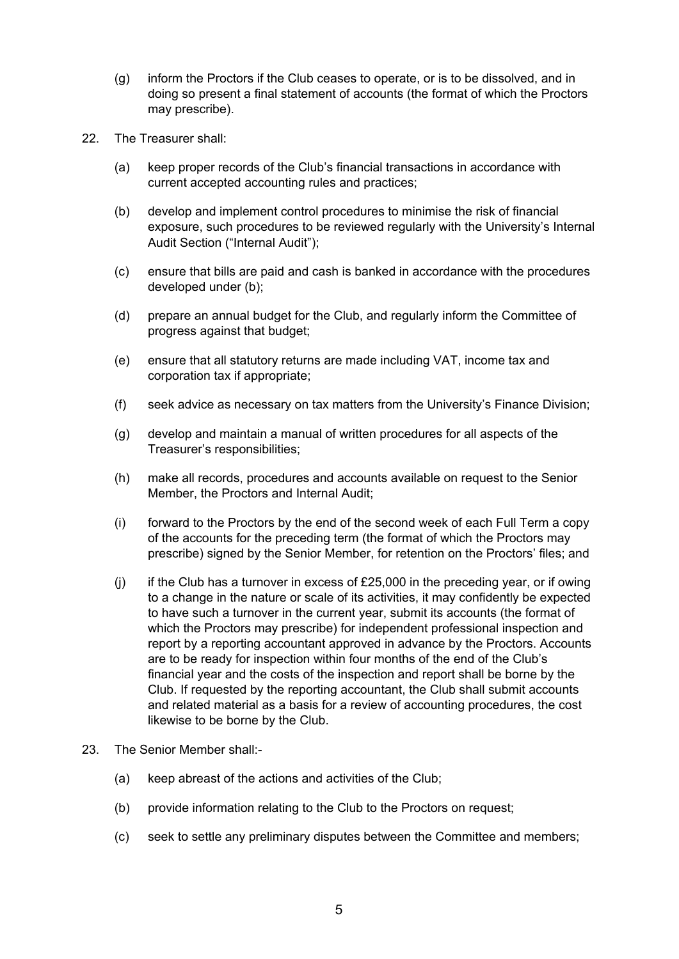- (g) inform the Proctors if the Club ceases to operate, or is to be dissolved, and in doing so present a final statement of accounts (the format of which the Proctors may prescribe).
- 22. The Treasurer shall:
	- (a) keep proper records of the Club's financial transactions in accordance with current accepted accounting rules and practices;
	- (b) develop and implement control procedures to minimise the risk of financial exposure, such procedures to be reviewed regularly with the University's Internal Audit Section ("Internal Audit");
	- (c) ensure that bills are paid and cash is banked in accordance with the procedures developed under (b);
	- (d) prepare an annual budget for the Club, and regularly inform the Committee of progress against that budget;
	- (e) ensure that all statutory returns are made including VAT, income tax and corporation tax if appropriate;
	- (f) seek advice as necessary on tax matters from the University's Finance Division;
	- (g) develop and maintain a manual of written procedures for all aspects of the Treasurer's responsibilities;
	- (h) make all records, procedures and accounts available on request to the Senior Member, the Proctors and Internal Audit;
	- (i) forward to the Proctors by the end of the second week of each Full Term a copy of the accounts for the preceding term (the format of which the Proctors may prescribe) signed by the Senior Member, for retention on the Proctors' files; and
	- (j) if the Club has a turnover in excess of  $£25,000$  in the preceding year, or if owing to a change in the nature or scale of its activities, it may confidently be expected to have such a turnover in the current year, submit its accounts (the format of which the Proctors may prescribe) for independent professional inspection and report by a reporting accountant approved in advance by the Proctors. Accounts are to be ready for inspection within four months of the end of the Club's financial year and the costs of the inspection and report shall be borne by the Club. If requested by the reporting accountant, the Club shall submit accounts and related material as a basis for a review of accounting procedures, the cost likewise to be borne by the Club.
- 23. The Senior Member shall:-
	- (a) keep abreast of the actions and activities of the Club;
	- (b) provide information relating to the Club to the Proctors on request;
	- (c) seek to settle any preliminary disputes between the Committee and members;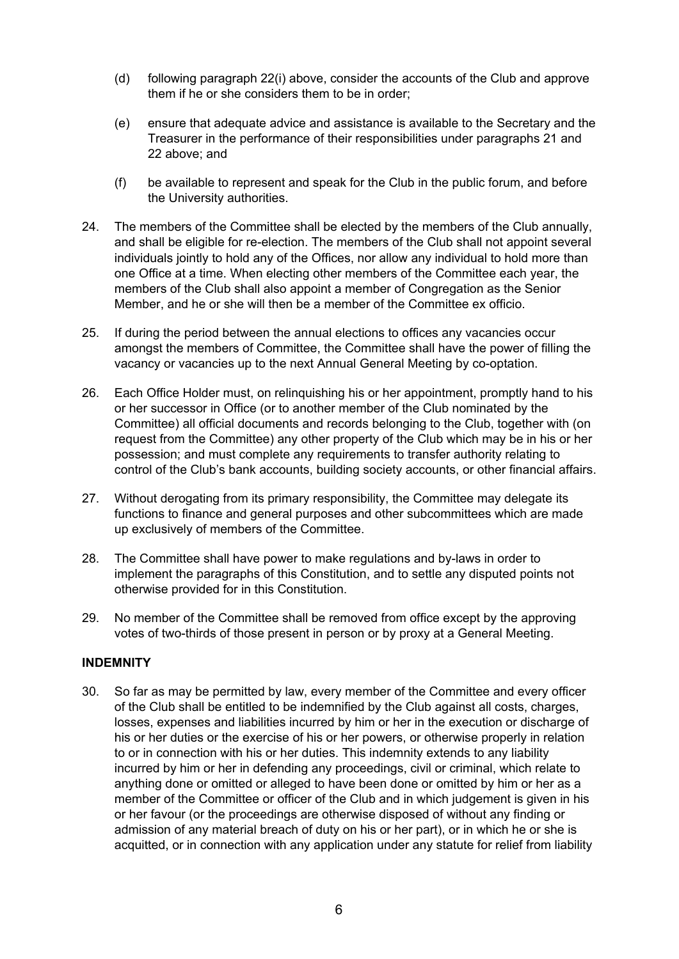- (d) following paragraph 22(i) above, consider the accounts of the Club and approve them if he or she considers them to be in order;
- (e) ensure that adequate advice and assistance is available to the Secretary and the Treasurer in the performance of their responsibilities under paragraphs 21 and 22 above; and
- (f) be available to represent and speak for the Club in the public forum, and before the University authorities.
- 24. The members of the Committee shall be elected by the members of the Club annually, and shall be eligible for re-election. The members of the Club shall not appoint several individuals jointly to hold any of the Offices, nor allow any individual to hold more than one Office at a time. When electing other members of the Committee each year, the members of the Club shall also appoint a member of Congregation as the Senior Member, and he or she will then be a member of the Committee ex officio.
- 25. If during the period between the annual elections to offices any vacancies occur amongst the members of Committee, the Committee shall have the power of filling the vacancy or vacancies up to the next Annual General Meeting by co-optation.
- 26. Each Office Holder must, on relinquishing his or her appointment, promptly hand to his or her successor in Office (or to another member of the Club nominated by the Committee) all official documents and records belonging to the Club, together with (on request from the Committee) any other property of the Club which may be in his or her possession; and must complete any requirements to transfer authority relating to control of the Club's bank accounts, building society accounts, or other financial affairs.
- 27. Without derogating from its primary responsibility, the Committee may delegate its functions to finance and general purposes and other subcommittees which are made up exclusively of members of the Committee.
- 28. The Committee shall have power to make regulations and by-laws in order to implement the paragraphs of this Constitution, and to settle any disputed points not otherwise provided for in this Constitution.
- 29. No member of the Committee shall be removed from office except by the approving votes of two-thirds of those present in person or by proxy at a General Meeting.

### **INDEMNITY**

30. So far as may be permitted by law, every member of the Committee and every officer of the Club shall be entitled to be indemnified by the Club against all costs, charges, losses, expenses and liabilities incurred by him or her in the execution or discharge of his or her duties or the exercise of his or her powers, or otherwise properly in relation to or in connection with his or her duties. This indemnity extends to any liability incurred by him or her in defending any proceedings, civil or criminal, which relate to anything done or omitted or alleged to have been done or omitted by him or her as a member of the Committee or officer of the Club and in which judgement is given in his or her favour (or the proceedings are otherwise disposed of without any finding or admission of any material breach of duty on his or her part), or in which he or she is acquitted, or in connection with any application under any statute for relief from liability